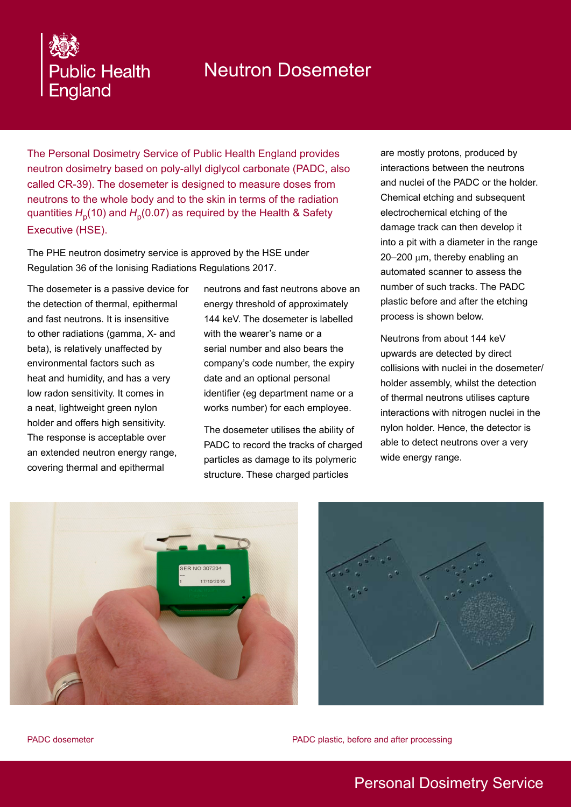# **Public Health** England

# Neutron Dosemeter

The Personal Dosimetry Service of Public Health England provides neutron dosimetry based on poly-allyl diglycol carbonate (PADC, also called CR-39). The dosemeter is designed to measure doses from neutrons to the whole body and to the skin in terms of the radiation quantities  $H_{\rm p}$ (10) and  $H_{\rm p}$ (0.07) as required by the Health & Safety Executive (HSE).

The PHE neutron dosimetry service is approved by the HSE under Regulation 36 of the Ionising Radiations Regulations 2017.

The dosemeter is a passive device for the detection of thermal, epithermal and fast neutrons. It is insensitive to other radiations (gamma, X- and beta), is relatively unaffected by environmental factors such as heat and humidity, and has a very low radon sensitivity. It comes in a neat, lightweight green nylon holder and offers high sensitivity. The response is acceptable over an extended neutron energy range, covering thermal and epithermal

neutrons and fast neutrons above an energy threshold of approximately 144 keV. The dosemeter is labelled with the wearer's name or a serial number and also bears the company's code number, the expiry date and an optional personal identifier (eg department name or a works number) for each employee.

The dosemeter utilises the ability of PADC to record the tracks of charged particles as damage to its polymeric structure. These charged particles

are mostly protons, produced by interactions between the neutrons and nuclei of the PADC or the holder. Chemical etching and subsequent electrochemical etching of the damage track can then develop it into a pit with a diameter in the range  $20-200 \mu m$ , thereby enabling an automated scanner to assess the number of such tracks. The PADC plastic before and after the etching process is shown below.

Neutrons from about 144 keV upwards are detected by direct collisions with nuclei in the dosemeter/ holder assembly, whilst the detection of thermal neutrons utilises capture interactions with nitrogen nuclei in the nylon holder. Hence, the detector is able to detect neutrons over a very wide energy range.





PADC dosemeter **PADC** plastic, before and after processing